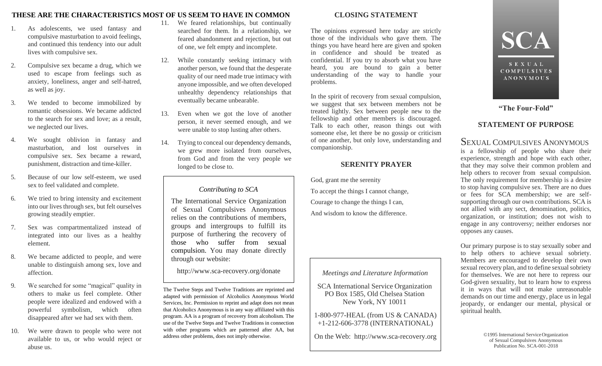# **THESE ARE THE CHARACTERISTICS MOST OF US SEEM TO HAVE IN COMMON CLOSING STATEMENT**

- 1. As adolescents, we used fantasy and compulsive masturbation to avoid feelings, and continued this tendency into our adult lives with compulsive sex.
- 2. Compulsive sex became a drug, which we used to escape from feelings such as anxiety, loneliness, anger and self-hatred, as well as joy.
- 3. We tended to become immobilized by romantic obsessions. We became addicted to the search for sex and love; as a result, we neglected our lives.
- 4. We sought oblivion in fantasy and masturbation, and lost ourselves in compulsive sex. Sex became a reward, punishment, distraction and time-killer.
- 5. Because of our low self-esteem, we used sex to feel validated and complete.
- 6. We tried to bring intensity and excitement into our lives through sex, but felt ourselves growing steadily emptier.
- 7. Sex was compartmentalized instead of integrated into our lives as a healthy element.
- 8. We became addicted to people, and were unable to distinguish among sex, love and affection.
- 9. We searched for some "magical" quality in others to make us feel complete. Other people were idealized and endowed with a powerful symbolism, which often disappeared after we had sex with them.
- 10. We were drawn to people who were not available to us, or who would reject or abuse us.
- 11. We feared relationships, but continually searched for them. In a relationship, we feared abandonment and rejection, but out of one, we felt empty and incomplete.
- 12. While constantly seeking intimacy with another person, we found that the desperate quality of our need made true intimacy with anyone impossible, and we often developed unhealthy dependency relationships that eventually became unbearable.
- 13. Even when we got the love of another person, it never seemed enough, and we were unable to stop lusting after others.
- 14. Trying to conceal our dependency demands, we grew more isolated from ourselves, from God and from the very people we longed to be close to.

*Contributing to SCA*

The International Service Organization of Sexual Compulsives Anonymous relies on the contributions of members, groups and intergroups to fulfill its purpose of furthering the recovery of those who suffer from sexual compulsion. You may donate directly through our website:

<http://www.sca-recovery.org/donate>

The Twelve Steps and Twelve Traditions are reprinted and adapted with permission of Alcoholics Anonymous World Services, Inc. Permission to reprint and adapt does not mean that Alcoholics Anonymous is in any way affiliated with this program. AA is a program of recovery from alcoholism. The use of the Twelve Steps and Twelve Traditions in connection with other programs which are patterned after AA, but address other problems, does not imply otherwise.

The opinions expressed here today are strictly those of the individuals who gave them. The things you have heard here are given and spoken in confidence and should be treated as confidential. If you try to absorb what you have heard, you are bound to gain a better understanding of the way to handle your problems.

In the spirit of recovery from sexual compulsion, we suggest that sex between members not be treated lightly. Sex between people new to the fellowship and other members is discouraged. Talk to each other, reason things out with someone else, let there be no gossip or criticism of one another, but only love, understanding and companionship.

## **SERENITY PRAYER**

God, grant me the serenity To accept the things I cannot change, Courage to change the things I can, And wisdom to know the difference.

### *Meetings and Literature Information*

- SCA International Service Organization PO Box 1585, Old Chelsea Station New York, NY 10011
- 1-800-977-HEAL (from US & CANADA) +1-212-606-3778 (INTERNATIONAL)

On the Web: [http://www.sca-recovery.org](http://www.sca-recovery.org/)



**"The Four-Fold"** 

# **STATEMENT OF PURPOSE**

# SEXUAL COMPULSIVES ANONYMOUS

is a fellowship of people who share their experience, strength and hope with each other, that they may solve their common problem and help others to recover from sexual compulsion. The only requirement for membership is a desire to stop having compulsive sex. There are no dues or fees for SCA membership; we are selfsupporting through our own contributions. SCA is not allied with any sect, denomination, politics, organization, or institution; does not wish to engage in any controversy; neither endorses nor opposes any causes.

Our primary purpose is to stay sexually sober and to help others to achieve sexual sobriety. Members are encouraged to develop their own sexual recovery plan, and to define sexual sobriety for themselves. We are not here to repress our God-given sexuality, but to learn how to express it in ways that will not make unreasonable demands on our time and energy, place us in legal jeopardy, or endanger our mental, physical or spiritual health.

> ©1995 International ServiceOrganization of Sexual Compulsives Anonymous Publication No. SCA-001-2018